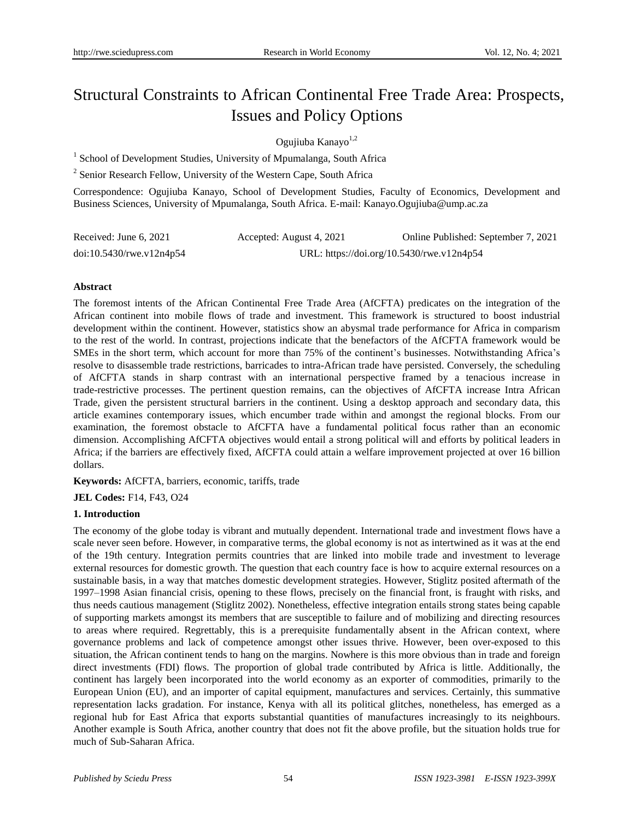# Structural Constraints to African Continental Free Trade Area: Prospects, Issues and Policy Options

Ogujiuba Kanayo<sup>1,2</sup>

<sup>1</sup> School of Development Studies, University of Mpumalanga, South Africa

<sup>2</sup> Senior Research Fellow, University of the Western Cape, South Africa

Correspondence: Ogujiuba Kanayo, School of Development Studies, Faculty of Economics, Development and Business Sciences, University of Mpumalanga, South Africa. E-mail: [Kanayo.Ogujiuba@ump.ac.za](mailto:Kanayo.Ogujiuba@ump.ac.za)

| Received: June 6, 2021      | Accepted: August 4, 2021 | Online Published: September 7, 2021       |
|-----------------------------|--------------------------|-------------------------------------------|
| $doi:10.5430$ /rwe.v12n4p54 |                          | URL: https://doi.org/10.5430/rwe.v12n4p54 |

## **Abstract**

The foremost intents of the African Continental Free Trade Area (AfCFTA) predicates on the integration of the African continent into mobile flows of trade and investment. This framework is structured to boost industrial development within the continent. However, statistics show an abysmal trade performance for Africa in comparism to the rest of the world. In contrast, projections indicate that the benefactors of the AfCFTA framework would be SMEs in the short term, which account for more than 75% of the continent's businesses. Notwithstanding Africa's resolve to disassemble trade restrictions, barricades to intra-African trade have persisted. Conversely, the scheduling of AfCFTA stands in sharp contrast with an international perspective framed by a tenacious increase in trade-restrictive processes. The pertinent question remains, can the objectives of AfCFTA increase Intra African Trade, given the persistent structural barriers in the continent. Using a desktop approach and secondary data, this article examines contemporary issues, which encumber trade within and amongst the regional blocks. From our examination, the foremost obstacle to AfCFTA have a fundamental political focus rather than an economic dimension. Accomplishing AfCFTA objectives would entail a strong political will and efforts by political leaders in Africa; if the barriers are effectively fixed, AfCFTA could attain a welfare improvement projected at over 16 billion dollars.

**Keywords:** AfCFTA, barriers, economic, tariffs, trade

**JEL Codes:** F14, F43, O24

## **1. Introduction**

The economy of the globe today is vibrant and mutually dependent. International trade and investment flows have a scale never seen before. However, in comparative terms, the global economy is not as intertwined as it was at the end of the 19th century. Integration permits countries that are linked into mobile trade and investment to leverage external resources for domestic growth. The question that each country face is how to acquire external resources on a sustainable basis, in a way that matches domestic development strategies. However, Stiglitz posited aftermath of the 1997–1998 Asian financial crisis, opening to these flows, precisely on the financial front, is fraught with risks, and thus needs cautious management (Stiglitz 2002). Nonetheless, effective integration entails strong states being capable of supporting markets amongst its members that are susceptible to failure and of mobilizing and directing resources to areas where required. Regrettably, this is a prerequisite fundamentally absent in the African context, where governance problems and lack of competence amongst other issues thrive. However, been over-exposed to this situation, the African continent tends to hang on the margins. Nowhere is this more obvious than in trade and foreign direct investments (FDI) flows. The proportion of global trade contributed by Africa is little. Additionally, the continent has largely been incorporated into the world economy as an exporter of commodities, primarily to the European Union (EU), and an importer of capital equipment, manufactures and services. Certainly, this summative representation lacks gradation. For instance, Kenya with all its political glitches, nonetheless, has emerged as a regional hub for East Africa that exports substantial quantities of manufactures increasingly to its neighbours. Another example is South Africa, another country that does not fit the above profile, but the situation holds true for much of Sub-Saharan Africa.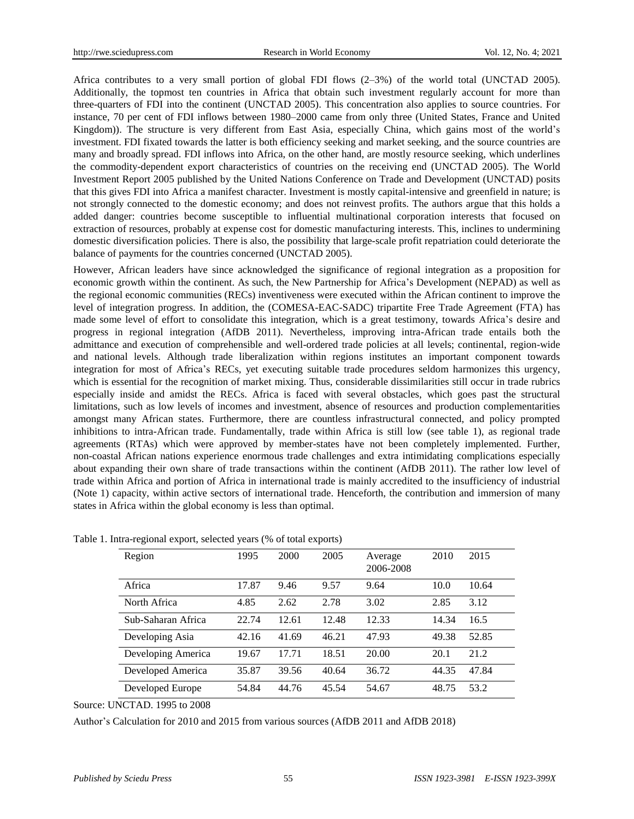Africa contributes to a very small portion of global FDI flows (2–3%) of the world total (UNCTAD 2005). Additionally, the topmost ten countries in Africa that obtain such investment regularly account for more than three-quarters of FDI into the continent (UNCTAD 2005). This concentration also applies to source countries. For instance, 70 per cent of FDI inflows between 1980–2000 came from only three (United States, France and United Kingdom)). The structure is very different from East Asia, especially China, which gains most of the world's investment. FDI fixated towards the latter is both efficiency seeking and market seeking, and the source countries are many and broadly spread. FDI inflows into Africa, on the other hand, are mostly resource seeking, which underlines the commodity-dependent export characteristics of countries on the receiving end (UNCTAD 2005). The World Investment Report 2005 published by the United Nations Conference on Trade and Development (UNCTAD) posits that this gives FDI into Africa a manifest character. Investment is mostly capital-intensive and greenfield in nature; is not strongly connected to the domestic economy; and does not reinvest profits. The authors argue that this holds a added danger: countries become susceptible to influential multinational corporation interests that focused on extraction of resources, probably at expense cost for domestic manufacturing interests. This, inclines to undermining domestic diversification policies. There is also, the possibility that large-scale profit repatriation could deteriorate the balance of payments for the countries concerned (UNCTAD 2005).

However, African leaders have since acknowledged the significance of regional integration as a proposition for economic growth within the continent. As such, the New Partnership for Africa's Development (NEPAD) as well as the regional economic communities (RECs) inventiveness were executed within the African continent to improve the level of integration progress. In addition, the (COMESA-EAC-SADC) tripartite Free Trade Agreement (FTA) has made some level of effort to consolidate this integration, which is a great testimony, towards Africa's desire and progress in regional integration (AfDB 2011). Nevertheless, improving intra-African trade entails both the admittance and execution of comprehensible and well-ordered trade policies at all levels; continental, region-wide and national levels. Although trade liberalization within regions institutes an important component towards integration for most of Africa's RECs, yet executing suitable trade procedures seldom harmonizes this urgency, which is essential for the recognition of market mixing. Thus, considerable dissimilarities still occur in trade rubrics especially inside and amidst the RECs. Africa is faced with several obstacles, which goes past the structural limitations, such as low levels of incomes and investment, absence of resources and production complementarities amongst many African states. Furthermore, there are countless infrastructural connected, and policy prompted inhibitions to intra-African trade. Fundamentally, trade within Africa is still low (see table 1), as regional trade agreements (RTAs) which were approved by member-states have not been completely implemented. Further, non-coastal African nations experience enormous trade challenges and extra intimidating complications especially about expanding their own share of trade transactions within the continent (AfDB 2011). The rather low level of trade within Africa and portion of Africa in international trade is mainly accredited to the insufficiency of industrial (Note 1) capacity, within active sectors of international trade. Henceforth, the contribution and immersion of many states in Africa within the global economy is less than optimal.

| Region             | 1995  | 2000  | 2005  | Average<br>2006-2008 | 2010  | 2015  |
|--------------------|-------|-------|-------|----------------------|-------|-------|
| Africa             | 17.87 | 9.46  | 9.57  | 9.64                 | 10.0  | 10.64 |
| North Africa       | 4.85  | 2.62  | 2.78  | 3.02                 | 2.85  | 3.12  |
| Sub-Saharan Africa | 22.74 | 12.61 | 12.48 | 12.33                | 14.34 | 16.5  |
| Developing Asia    | 42.16 | 41.69 | 46.21 | 47.93                | 49.38 | 52.85 |
| Developing America | 19.67 | 17.71 | 18.51 | 20.00                | 20.1  | 21.2  |
| Developed America  | 35.87 | 39.56 | 40.64 | 36.72                | 44.35 | 47.84 |
| Developed Europe   | 54.84 | 44.76 | 45.54 | 54.67                | 48.75 | 53.2  |

|  | Table 1. Intra-regional export, selected years (% of total exports) |  |  |  |  |  |  |
|--|---------------------------------------------------------------------|--|--|--|--|--|--|
|--|---------------------------------------------------------------------|--|--|--|--|--|--|

Source: UNCTAD. 1995 to 2008

Author's Calculation for 2010 and 2015 from various sources (AfDB 2011 and AfDB 2018)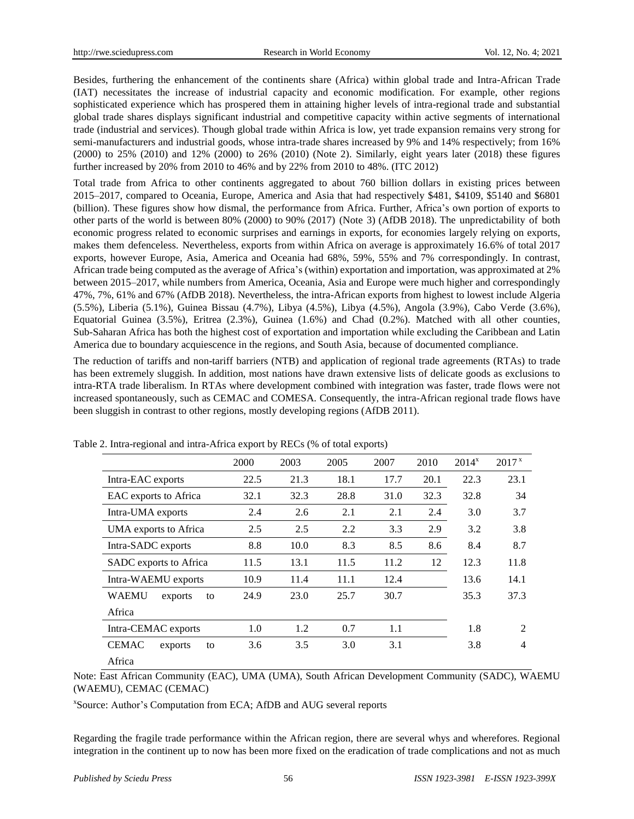Besides, furthering the enhancement of the continents share (Africa) within global trade and Intra-African Trade (IAT) necessitates the increase of industrial capacity and economic modification. For example, other regions sophisticated experience which has prospered them in attaining higher levels of intra-regional trade and substantial global trade shares displays significant industrial and competitive capacity within active segments of international trade (industrial and services). Though global trade within Africa is low, yet trade expansion remains very strong for semi-manufacturers and industrial goods, whose intra-trade shares increased by 9% and 14% respectively; from 16% (2000) to 25% (2010) and 12% (2000) to 26% (2010) (Note 2). Similarly, eight years later (2018) these figures further increased by 20% from 2010 to 46% and by 22% from 2010 to 48%. (ITC 2012)

Total trade from Africa to other continents aggregated to about 760 billion dollars in existing prices between 2015–2017, compared to Oceania, Europe, America and Asia that had respectively \$481, \$4109, \$5140 and \$6801 (billion). These figures show how dismal, the performance from Africa. Further, Africa's own portion of exports to other parts of the world is between 80% (2000) to 90% (2017) (Note 3) (AfDB 2018). The unpredictability of both economic progress related to economic surprises and earnings in exports, for economies largely relying on exports, makes them defenceless. Nevertheless, exports from within Africa on average is approximately 16.6% of total 2017 exports, however Europe, Asia, America and Oceania had 68%, 59%, 55% and 7% correspondingly. In contrast, African trade being computed as the average of Africa's (within) exportation and importation, was approximated at 2% between 2015–2017, while numbers from America, Oceania, Asia and Europe were much higher and correspondingly 47%, 7%, 61% and 67% (AfDB 2018). Nevertheless, the intra-African exports from highest to lowest include Algeria (5.5%), Liberia (5.1%), Guinea Bissau (4.7%), Libya (4.5%), Libya (4.5%), Angola (3.9%), Cabo Verde (3.6%), Equatorial Guinea (3.5%), Eritrea (2.3%), Guinea (1.6%) and Chad (0.2%). Matched with all other counties, Sub-Saharan Africa has both the highest cost of exportation and importation while excluding the Caribbean and Latin America due to boundary acquiescence in the regions, and South Asia, because of documented compliance.

The reduction of tariffs and non-tariff barriers (NTB) and application of regional trade agreements (RTAs) to trade has been extremely sluggish. In addition, most nations have drawn extensive lists of delicate goods as exclusions to intra-RTA trade liberalism. In RTAs where development combined with integration was faster, trade flows were not increased spontaneously, such as CEMAC and COMESA. Consequently, the intra-African regional trade flows have been sluggish in contrast to other regions, mostly developing regions (AfDB 2011).

|                               | 2000 | 2003 | 2005 | 2007 | 2010 | $2014^{x}$ | 2017 <sup>x</sup> |
|-------------------------------|------|------|------|------|------|------------|-------------------|
| Intra-EAC exports             | 22.5 | 21.3 | 18.1 | 17.7 | 20.1 | 22.3       | 23.1              |
| EAC exports to Africa         | 32.1 | 32.3 | 28.8 | 31.0 | 32.3 | 32.8       | 34                |
| Intra-UMA exports             | 2.4  | 2.6  | 2.1  | 2.1  | 2.4  | 3.0        | 3.7               |
| UMA exports to Africa         | 2.5  | 2.5  | 2.2  | 3.3  | 2.9  | 3.2        | 3.8               |
| Intra-SADC exports            | 8.8  | 10.0 | 8.3  | 8.5  | 8.6  | 8.4        | 8.7               |
| SADC exports to Africa        | 11.5 | 13.1 | 11.5 | 11.2 | 12   | 12.3       | 11.8              |
| Intra-WAEMU exports           | 10.9 | 11.4 | 11.1 | 12.4 |      | 13.6       | 14.1              |
| <b>WAEMU</b><br>exports<br>to | 24.9 | 23.0 | 25.7 | 30.7 |      | 35.3       | 37.3              |
| Africa                        |      |      |      |      |      |            |                   |
| Intra-CEMAC exports           | 1.0  | 1.2  | 0.7  | 1.1  |      | 1.8        | $\mathcal{L}$     |
| <b>CEMAC</b><br>exports<br>to | 3.6  | 3.5  | 3.0  | 3.1  |      | 3.8        | 4                 |
| Africa                        |      |      |      |      |      |            |                   |

Table 2. Intra-regional and intra-Africa export by RECs (% of total exports)

Note: East African Community (EAC), UMA (UMA), South African Development Community (SADC), WAEMU (WAEMU), CEMAC (CEMAC)

x Source: Author's Computation from ECA; AfDB and AUG several reports

Regarding the fragile trade performance within the African region, there are several whys and wherefores. Regional integration in the continent up to now has been more fixed on the eradication of trade complications and not as much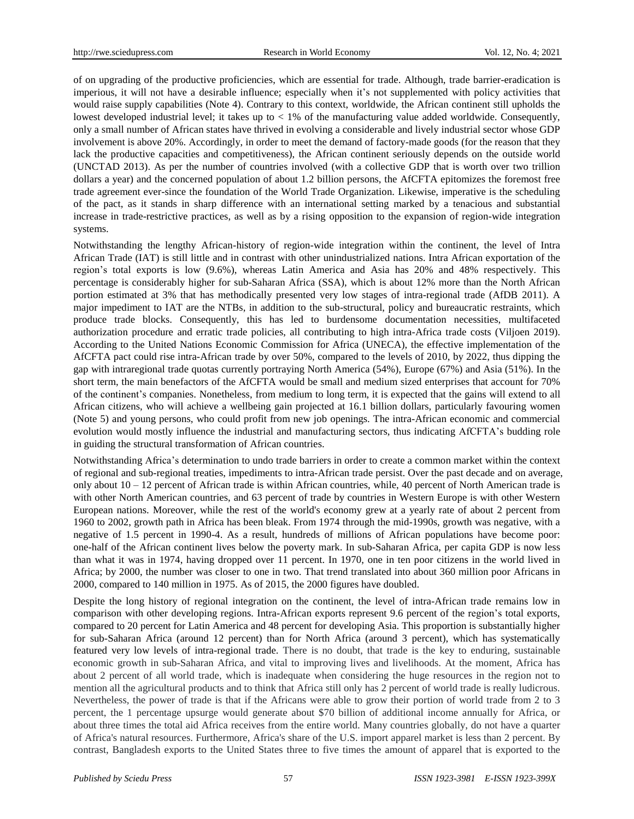of on upgrading of the productive proficiencies, which are essential for trade. Although, trade barrier-eradication is imperious, it will not have a desirable influence; especially when it's not supplemented with policy activities that would raise supply capabilities (Note 4). Contrary to this context, worldwide, the African continent still upholds the lowest developed industrial level; it takes up to  $< 1\%$  of the manufacturing value added worldwide. Consequently, only a small number of African states have thrived in evolving a considerable and lively industrial sector whose GDP involvement is above 20%. Accordingly, in order to meet the demand of factory-made goods (for the reason that they lack the productive capacities and competitiveness), the African continent seriously depends on the outside world (UNCTAD 2013). As per the number of countries involved (with a collective GDP that is worth over two trillion dollars a year) and the concerned population of about 1.2 billion persons, the AfCFTA epitomizes the foremost free trade agreement ever-since the foundation of the World Trade Organization. Likewise, imperative is the scheduling of the pact, as it stands in sharp difference with an international setting marked by a tenacious and substantial increase in trade-restrictive practices, as well as by a rising opposition to the expansion of region-wide integration systems.

Notwithstanding the lengthy African-history of region-wide integration within the continent, the level of Intra African Trade (IAT) is still little and in contrast with other unindustrialized nations. Intra African exportation of the region's total exports is low (9.6%), whereas Latin America and Asia has 20% and 48% respectively. This percentage is considerably higher for sub-Saharan Africa (SSA), which is about 12% more than the North African portion estimated at 3% that has methodically presented very low stages of intra-regional trade (AfDB 2011). A major impediment to IAT are the NTBs, in addition to the sub-structural, policy and bureaucratic restraints, which produce trade blocks. Consequently, this has led to burdensome documentation necessities, multifaceted authorization procedure and erratic trade policies, all contributing to high intra-Africa trade costs (Viljoen 2019). According to the United Nations Economic Commission for Africa (UNECA), the effective implementation of the AfCFTA pact could rise intra-African trade by over 50%, compared to the levels of 2010, by 2022, thus dipping the gap with intraregional trade quotas currently portraying North America (54%), Europe (67%) and Asia (51%). In the short term, the main benefactors of the AfCFTA would be small and medium sized enterprises that account for 70% of the continent's companies. Nonetheless, from medium to long term, it is expected that the gains will extend to all African citizens, who will achieve a wellbeing gain projected at 16.1 billion dollars, particularly favouring women (Note 5) and young persons, who could profit from new job openings. The intra-African economic and commercial evolution would mostly influence the industrial and manufacturing sectors, thus indicating AfCFTA's budding role in guiding the structural transformation of African countries.

Notwithstanding Africa's determination to undo trade barriers in order to create a common market within the context of regional and sub-regional treaties, impediments to intra-African trade persist. Over the past decade and on average, only about  $10 - 12$  percent of African trade is within African countries, while, 40 percent of North American trade is with other North American countries, and 63 percent of trade by countries in Western Europe is with other Western European nations. Moreover, while the rest of the world's economy grew at a yearly rate of about 2 percent from 1960 to 2002, growth path in Africa has been bleak. From 1974 through the mid-1990s, growth was negative, with a negative of 1.5 percent in 1990-4. As a result, hundreds of millions of African populations have become poor: one-half of the African continent lives below the poverty mark. In sub-Saharan Africa, per capita GDP is now less than what it was in 1974, having dropped over 11 percent. In 1970, one in ten poor citizens in the world lived in Africa; by 2000, the number was closer to one in two. That trend translated into about 360 million poor Africans in 2000, compared to 140 million in 1975. As of 2015, the 2000 figures have doubled.

Despite the long history of regional integration on the continent, the level of intra-African trade remains low in comparison with other developing regions. Intra-African exports represent 9.6 percent of the region's total exports, compared to 20 percent for Latin America and 48 percent for developing Asia. This proportion is substantially higher for sub-Saharan Africa (around 12 percent) than for North Africa (around 3 percent), which has systematically featured very low levels of intra-regional trade. There is no doubt, that trade is the key to enduring, sustainable economic growth in sub-Saharan Africa, and vital to improving lives and livelihoods. At the moment, Africa has about 2 percent of all world trade, which is inadequate when considering the huge resources in the region not to mention all the agricultural products and to think that Africa still only has 2 percent of world trade is really ludicrous. Nevertheless, the power of trade is that if the Africans were able to grow their portion of world trade from 2 to 3 percent, the 1 percentage upsurge would generate about \$70 billion of additional income annually for Africa, or about three times the total aid Africa receives from the entire world. Many countries globally, do not have a quarter of Africa's natural resources. Furthermore, Africa's share of the U.S. import apparel market is less than 2 percent. By contrast, Bangladesh exports to the United States three to five times the amount of apparel that is exported to the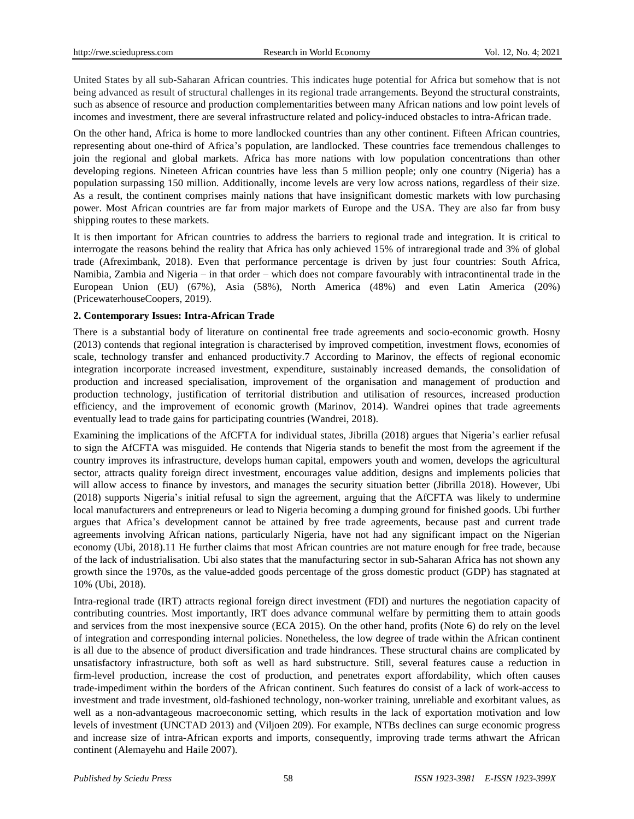United States by all sub-Saharan African countries. This indicates huge potential for Africa but somehow that is not being advanced as result of structural challenges in its regional trade arrangements. Beyond the structural constraints, such as absence of resource and production complementarities between many African nations and low point levels of incomes and investment, there are several infrastructure related and policy-induced obstacles to intra-African trade.

On the other hand, Africa is home to more landlocked countries than any other continent. Fifteen African countries, representing about one-third of Africa's population, are landlocked. These countries face tremendous challenges to join the regional and global markets. Africa has more nations with low population concentrations than other developing regions. Nineteen African countries have less than 5 million people; only one country (Nigeria) has a population surpassing 150 million. Additionally, income levels are very low across nations, regardless of their size. As a result, the continent comprises mainly nations that have insignificant domestic markets with low purchasing power. Most African countries are far from major markets of Europe and the USA. They are also far from busy shipping routes to these markets.

It is then important for African countries to address the barriers to regional trade and integration. It is critical to interrogate the reasons behind the reality that Africa has only achieved 15% of intraregional trade and 3% of global trade (Afreximbank, 2018). Even that performance percentage is driven by just four countries: South Africa, Namibia, Zambia and Nigeria – in that order – which does not compare favourably with intracontinental trade in the European Union (EU) (67%), Asia (58%), North America (48%) and even Latin America (20%) (PricewaterhouseCoopers, 2019).

## **2. Contemporary Issues: Intra-African Trade**

There is a substantial body of literature on continental free trade agreements and socio-economic growth. Hosny (2013) contends that regional integration is characterised by improved competition, investment flows, economies of scale, technology transfer and enhanced productivity.7 According to Marinov, the effects of regional economic integration incorporate increased investment, expenditure, sustainably increased demands, the consolidation of production and increased specialisation, improvement of the organisation and management of production and production technology, justification of territorial distribution and utilisation of resources, increased production efficiency, and the improvement of economic growth (Marinov, 2014). Wandrei opines that trade agreements eventually lead to trade gains for participating countries (Wandrei, 2018).

Examining the implications of the AfCFTA for individual states, Jibrilla (2018) argues that Nigeria's earlier refusal to sign the AfCFTA was misguided. He contends that Nigeria stands to benefit the most from the agreement if the country improves its infrastructure, develops human capital, empowers youth and women, develops the agricultural sector, attracts quality foreign direct investment, encourages value addition, designs and implements policies that will allow access to finance by investors, and manages the security situation better (Jibrilla 2018). However, Ubi (2018) supports Nigeria's initial refusal to sign the agreement, arguing that the AfCFTA was likely to undermine local manufacturers and entrepreneurs or lead to Nigeria becoming a dumping ground for finished goods. Ubi further argues that Africa's development cannot be attained by free trade agreements, because past and current trade agreements involving African nations, particularly Nigeria, have not had any significant impact on the Nigerian economy (Ubi, 2018).11 He further claims that most African countries are not mature enough for free trade, because of the lack of industrialisation. Ubi also states that the manufacturing sector in sub-Saharan Africa has not shown any growth since the 1970s, as the value-added goods percentage of the gross domestic product (GDP) has stagnated at 10% (Ubi, 2018).

Intra-regional trade (IRT) attracts regional foreign direct investment (FDI) and nurtures the negotiation capacity of contributing countries. Most importantly, IRT does advance communal welfare by permitting them to attain goods and services from the most inexpensive source (ECA 2015). On the other hand, profits (Note 6) do rely on the level of integration and corresponding internal policies. Nonetheless, the low degree of trade within the African continent is all due to the absence of product diversification and trade hindrances. These structural chains are complicated by unsatisfactory infrastructure, both soft as well as hard substructure. Still, several features cause a reduction in firm-level production, increase the cost of production, and penetrates export affordability, which often causes trade-impediment within the borders of the African continent. Such features do consist of a lack of work-access to investment and trade investment, old-fashioned technology, non-worker training, unreliable and exorbitant values, as well as a non-advantageous macroeconomic setting, which results in the lack of exportation motivation and low levels of investment (UNCTAD 2013) and (Viljoen 209). For example, NTBs declines can surge economic progress and increase size of intra-African exports and imports, consequently, improving trade terms athwart the African continent (Alemayehu and Haile 2007).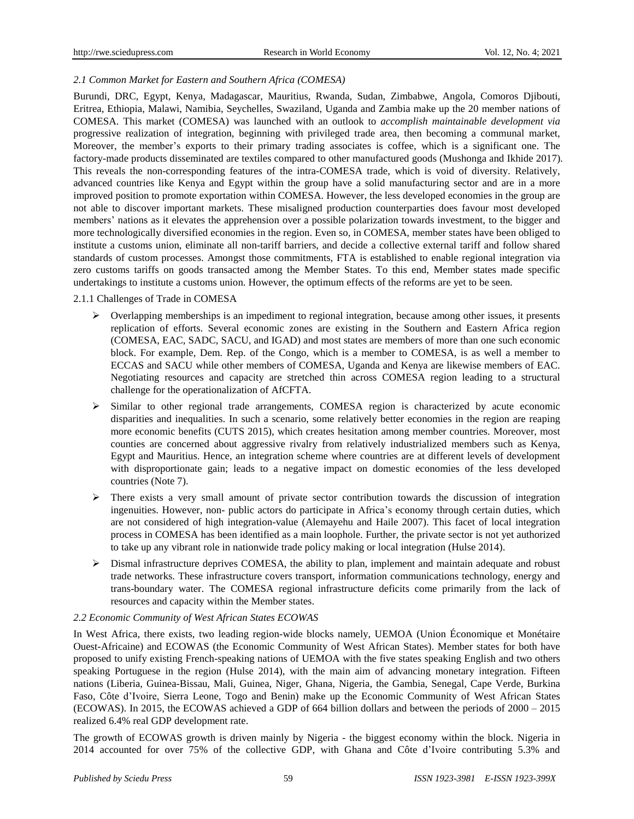# *2.1 Common Market for Eastern and Southern Africa (COMESA)*

Burundi, DRC, Egypt, Kenya, Madagascar, Mauritius, Rwanda, Sudan, Zimbabwe, Angola, Comoros Djibouti, Eritrea, Ethiopia, Malawi, Namibia, Seychelles, Swaziland, Uganda and Zambia make up the 20 member nations of COMESA. This market (COMESA) was launched with an outlook to *accomplish maintainable development via* progressive realization of integration, beginning with privileged trade area, then becoming a communal market, Moreover, the member's exports to their primary trading associates is coffee, which is a significant one. The factory-made products disseminated are textiles compared to other manufactured goods (Mushonga and Ikhide 2017). This reveals the non-corresponding features of the intra-COMESA trade, which is void of diversity. Relatively, advanced countries like Kenya and Egypt within the group have a solid manufacturing sector and are in a more improved position to promote exportation within COMESA. However, the less developed economies in the group are not able to discover important markets. These misaligned production counterparties does favour most developed members' nations as it elevates the apprehension over a possible polarization towards investment, to the bigger and more technologically diversified economies in the region. Even so, in COMESA, member states have been obliged to institute a customs union, eliminate all non-tariff barriers, and decide a collective external tariff and follow shared standards of custom processes. Amongst those commitments, FTA is established to enable regional integration via zero customs tariffs on goods transacted among the Member States. To this end, Member states made specific undertakings to institute a customs union. However, the optimum effects of the reforms are yet to be seen.

## 2.1.1 Challenges of Trade in COMESA

- $\triangleright$  Overlapping memberships is an impediment to regional integration, because among other issues, it presents replication of efforts. Several economic zones are existing in the Southern and Eastern Africa region (COMESA, EAC, SADC, SACU, and IGAD) and most states are members of more than one such economic block. For example, Dem. Rep. of the Congo, which is a member to COMESA, is as well a member to ECCAS and SACU while other members of COMESA, Uganda and Kenya are likewise members of EAC. Negotiating resources and capacity are stretched thin across COMESA region leading to a structural challenge for the operationalization of AfCFTA.
- $\triangleright$  Similar to other regional trade arrangements, COMESA region is characterized by acute economic disparities and inequalities. In such a scenario, some relatively better economies in the region are reaping more economic benefits (CUTS 2015), which creates hesitation among member countries. Moreover, most counties are concerned about aggressive rivalry from relatively industrialized members such as Kenya, Egypt and Mauritius. Hence, an integration scheme where countries are at different levels of development with disproportionate gain; leads to a negative impact on domestic economies of the less developed countries (Note 7).
- $\triangleright$  There exists a very small amount of private sector contribution towards the discussion of integration ingenuities. However, non- public actors do participate in Africa's economy through certain duties, which are not considered of high integration-value (Alemayehu and Haile 2007). This facet of local integration process in COMESA has been identified as a main loophole. Further, the private sector is not yet authorized to take up any vibrant role in nationwide trade policy making or local integration (Hulse 2014).
- $\triangleright$  Dismal infrastructure deprives COMESA, the ability to plan, implement and maintain adequate and robust trade networks. These infrastructure covers transport, information communications technology, energy and trans-boundary water. The COMESA regional infrastructure deficits come primarily from the lack of resources and capacity within the Member states.

## *2.2 Economic Community of West African States ECOWAS*

In West Africa, there exists, two leading region-wide blocks namely, UEMOA (Union Économique et Monétaire Ouest-Africaine) and ECOWAS (the Economic Community of West African States). Member states for both have proposed to unify existing French-speaking nations of UEMOA with the five states speaking English and two others speaking Portuguese in the region (Hulse 2014), with the main aim of advancing monetary integration. Fifteen nations (Liberia, Guinea-Bissau, Mali, Guinea, Niger, Ghana, Nigeria, the Gambia, Senegal, Cape Verde, Burkina Faso, Côte d'Ivoire, Sierra Leone, Togo and Benin) make up the Economic Community of West African States (ECOWAS). In 2015, the ECOWAS achieved a GDP of 664 billion dollars and between the periods of 2000 – 2015 realized 6.4% real GDP development rate.

The growth of ECOWAS growth is driven mainly by Nigeria - the biggest economy within the block. Nigeria in 2014 accounted for over 75% of the collective GDP, with Ghana and Côte d'Ivoire contributing 5.3% and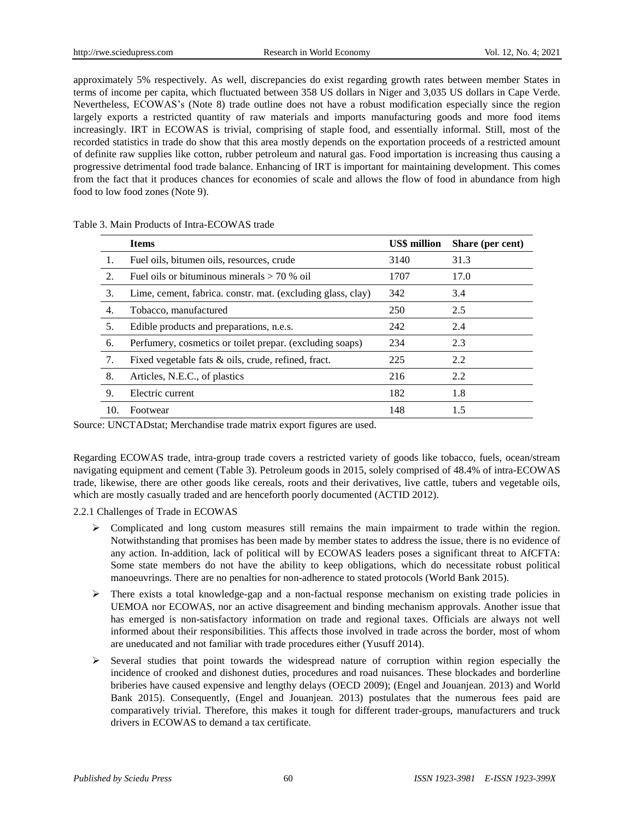approximately 5% respectively. As well, discrepancies do exist regarding growth rates between member States in terms of income per capita, which fluctuated between 358 US dollars in Niger and 3,035 US dollars in Cape Verde. Nevertheless, ECOWAS's (Note 8) trade outline does not have a robust modification especially since the region largely exports a restricted quantity of raw materials and imports manufacturing goods and more food items increasingly. IRT in ECOWAS is trivial, comprising of staple food, and essentially informal. Still, most of the recorded statistics in trade do show that this area mostly depends on the exportation proceeds of a restricted amount of definite raw supplies like cotton, rubber petroleum and natural gas. Food importation is increasing thus causing a progressive detrimental food trade balance. Enhancing of IRT is important for maintaining development. This comes from the fact that it produces chances for economies of scale and allows the flow of food in abundance from high food to low food zones (Note 9).

|                | <b>Items</b>                                                | <b>US\$</b> million | Share (per cent) |
|----------------|-------------------------------------------------------------|---------------------|------------------|
|                | Fuel oils, bitumen oils, resources, crude                   | 3140                | 31.3             |
| $\mathfrak{D}$ | Fuel oils or bituminous minerals $> 70$ % oil               | 1707                | 17.0             |
| 3.             | Lime, cement, fabrica. constr. mat. (excluding glass, clay) | 342                 | 3.4              |
| 4.             | Tobacco, manufactured                                       | 250                 | 2.5              |
| 5.             | Edible products and preparations, n.e.s.                    | 242                 | 2.4              |
| 6.             | Perfumery, cosmetics or toilet prepar. (excluding soaps)    | 234                 | 2.3              |
| 7.             | Fixed vegetable fats & oils, crude, refined, fract.         | 225                 | 2.2              |
| 8.             | Articles, N.E.C., of plastics                               | 216                 | 2.2              |
| 9.             | Electric current                                            | 182                 | 1.8              |
| 10.            | Footwear                                                    | 148                 | 1.5              |

Table 3. Main Products of Intra-ECOWAS trade

Source: UNCTADstat; Merchandise trade matrix export figures are used.

Regarding ECOWAS trade, intra-group trade covers a restricted variety of goods like tobacco, fuels, ocean/stream navigating equipment and cement (Table 3). Petroleum goods in 2015, solely comprised of 48.4% of intra-ECOWAS trade, likewise, there are other goods like cereals, roots and their derivatives, live cattle, tubers and vegetable oils, which are mostly casually traded and are henceforth poorly documented (ACTID 2012).

2.2.1 Challenges of Trade in ECOWAS

- $\triangleright$  Complicated and long custom measures still remains the main impairment to trade within the region. Notwithstanding that promises has been made by member states to address the issue, there is no evidence of any action. In-addition, lack of political will by ECOWAS leaders poses a significant threat to AfCFTA: Some state members do not have the ability to keep obligations, which do necessitate robust political manoeuvrings. There are no penalties for non-adherence to stated protocols (World Bank 2015).
- $\triangleright$  There exists a total knowledge-gap and a non-factual response mechanism on existing trade policies in UEMOA nor ECOWAS, nor an active disagreement and binding mechanism approvals. Another issue that has emerged is non-satisfactory information on trade and regional taxes. Officials are always not well informed about their responsibilities. This affects those involved in trade across the border, most of whom are uneducated and not familiar with trade procedures either (Yusuff 2014).
- $\triangleright$  Several studies that point towards the widespread nature of corruption within region especially the incidence of crooked and dishonest duties, procedures and road nuisances. These blockades and borderline briberies have caused expensive and lengthy delays (OECD 2009); (Engel and Jouanjean. 2013) and World Bank 2015). Consequently, (Engel and Jouanjean. 2013) postulates that the numerous fees paid are comparatively trivial. Therefore, this makes it tough for different trader-groups, manufacturers and truck drivers in ECOWAS to demand a tax certificate.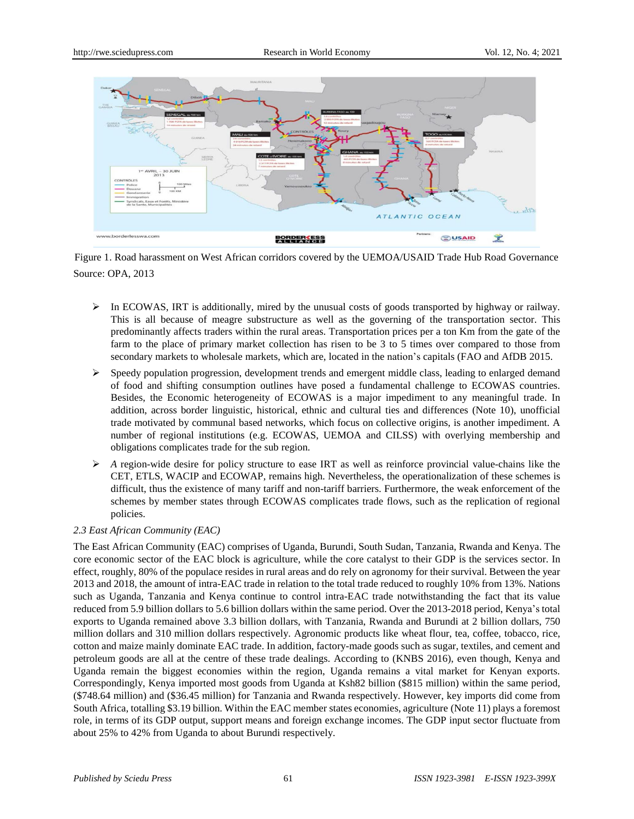

Figure 1. Road harassment on West African corridors covered by the UEMOA/USAID Trade Hub Road Governance Source: OPA, 2013

- $\triangleright$  In ECOWAS, IRT is additionally, mired by the unusual costs of goods transported by highway or railway. This is all because of meagre substructure as well as the governing of the transportation sector. This predominantly affects traders within the rural areas. Transportation prices per a ton Km from the gate of the farm to the place of primary market collection has risen to be 3 to 5 times over compared to those from secondary markets to wholesale markets, which are, located in the nation's capitals (FAO and AfDB 2015.
- $\triangleright$  Speedy population progression, development trends and emergent middle class, leading to enlarged demand of food and shifting consumption outlines have posed a fundamental challenge to ECOWAS countries. Besides, the Economic heterogeneity of ECOWAS is a major impediment to any meaningful trade. In addition, across border linguistic, historical, ethnic and cultural ties and differences (Note 10), unofficial trade motivated by communal based networks, which focus on collective origins, is another impediment. A number of regional institutions (e.g. ECOWAS, UEMOA and CILSS) with overlying membership and obligations complicates trade for the sub region.
- $\triangleright$  A region-wide desire for policy structure to ease IRT as well as reinforce provincial value-chains like the CET, ETLS, WACIP and ECOWAP, remains high. Nevertheless, the operationalization of these schemes is difficult, thus the existence of many tariff and non-tariff barriers. Furthermore, the weak enforcement of the schemes by member states through ECOWAS complicates trade flows, such as the replication of regional policies.

# *2.3 East African Community (EAC)*

The East African Community (EAC) comprises of Uganda, Burundi, South Sudan, Tanzania, Rwanda and Kenya. The core economic sector of the EAC block is agriculture, while the core catalyst to their GDP is the services sector. In effect, roughly, 80% of the populace resides in rural areas and do rely on agronomy for their survival. Between the year 2013 and 2018, the amount of intra-EAC trade in relation to the total trade reduced to roughly 10% from 13%. Nations such as Uganda, Tanzania and Kenya continue to control intra-EAC trade notwithstanding the fact that its value reduced from 5.9 billion dollars to 5.6 billion dollars within the same period. Over the 2013-2018 period, Kenya's total exports to Uganda remained above 3.3 billion dollars, with Tanzania, Rwanda and Burundi at 2 billion dollars, 750 million dollars and 310 million dollars respectively. Agronomic products like wheat flour, tea, coffee, tobacco, rice, cotton and maize mainly dominate EAC trade. In addition, factory-made goods such as sugar, textiles, and cement and petroleum goods are all at the centre of these trade dealings. According to (KNBS 2016), even though, Kenya and Uganda remain the biggest economies within the region, Uganda remains a vital market for Kenyan exports. Correspondingly, Kenya imported most goods from Uganda at Ksh82 billion (\$815 million) within the same period, (\$748.64 million) and (\$36.45 million) for Tanzania and Rwanda respectively. However, key imports did come from South Africa, totalling \$3.19 billion. Within the EAC member states economies, agriculture (Note 11) plays a foremost role, in terms of its GDP output, support means and foreign exchange incomes. The GDP input sector fluctuate from about 25% to 42% from Uganda to about Burundi respectively.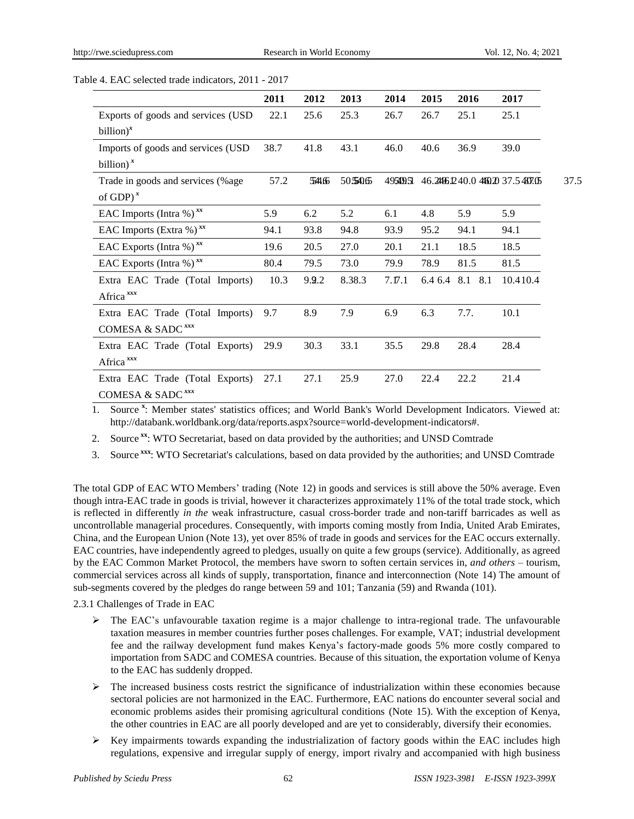Table 4. EAC selected trade indicators, 2011 - 2017

|                                     | 2011 | 2012  | 2013   | 2014      | 2015    | 2016    | 2017                               |
|-------------------------------------|------|-------|--------|-----------|---------|---------|------------------------------------|
| Exports of goods and services (USD  | 22.1 | 25.6  | 25.3   | 26.7      | 26.7    | 25.1    | 25.1                               |
| $billion)^x$                        |      |       |        |           |         |         |                                    |
| Imports of goods and services (USD) | 38.7 | 41.8  | 43.1   | 46.0      | 40.6    | 36.9    | 39.0                               |
| billion) $^x$                       |      |       |        |           |         |         |                                    |
| Trade in goods and services (%age   | 57.2 | 54166 | 505406 | 495499.51 |         |         | 46.2496.1240.0 4460.20 37.5 437.05 |
| of GDP $)^x$                        |      |       |        |           |         |         |                                    |
| EAC Imports (Intra %) $^{xx}$       | 5.9  | 6.2   | 5.2    | 6.1       | 4.8     | 5.9     | 5.9                                |
| EAC Imports (Extra %) $^{xx}$       | 94.1 | 93.8  | 94.8   | 93.9      | 95.2    | 94.1    | 94.1                               |
| EAC Exports (Intra %) $^{xx}$       | 19.6 | 20.5  | 27.0   | 20.1      | 21.1    | 18.5    | 18.5                               |
| EAC Exports (Intra %) $^{xx}$       | 80.4 | 79.5  | 73.0   | 79.9      | 78.9    | 81.5    | 81.5                               |
| Extra EAC Trade (Total Imports)     | 10.3 | 9.9.2 | 8.38.3 | 7.17.1    | 6.4 6.4 | 8.1 8.1 | 10.410.4                           |
| Africa <sup>xxx</sup>               |      |       |        |           |         |         |                                    |
| Extra EAC Trade (Total Imports)     | 9.7  | 8.9   | 7.9    | 6.9       | 6.3     | 7.7.    | 10.1                               |
| COMESA & SADC <sup>xxx</sup>        |      |       |        |           |         |         |                                    |
| Extra EAC Trade (Total Exports)     | 29.9 | 30.3  | 33.1   | 35.5      | 29.8    | 28.4    | 28.4                               |
| Africa <sup>xxx</sup>               |      |       |        |           |         |         |                                    |
| Extra EAC Trade (Total Exports)     | 27.1 | 27.1  | 25.9   | 27.0      | 22.4    | 22.2    | 21.4                               |
| COMESA & SADC <sup>xxx</sup>        |      |       |        |           |         |         |                                    |

1. Source **<sup>x</sup>** : Member states' statistics offices; and World Bank's World Development Indicators. Viewed at: http://databank.worldbank.org/data/reports.aspx?source=world-development-indicators#.

- 2. Source **xx**: WTO Secretariat, based on data provided by the authorities; and UNSD Comtrade
- 3. Source **xxx**: WTO Secretariat's calculations, based on data provided by the authorities; and UNSD Comtrade

The total GDP of EAC WTO Members' trading (Note 12) in goods and services is still above the 50% average. Even though intra-EAC trade in goods is trivial, however it characterizes approximately 11% of the total trade stock, which is reflected in differently *in the* weak infrastructure, casual cross-border trade and non-tariff barricades as well as uncontrollable managerial procedures. Consequently, with imports coming mostly from India, United Arab Emirates, China, and the European Union (Note 13), yet over 85% of trade in goods and services for the EAC occurs externally. EAC countries, have independently agreed to pledges, usually on quite a few groups (service). Additionally, as agreed by the EAC Common Market Protocol, the members have sworn to soften certain services in, *and others –* tourism, commercial services across all kinds of supply, transportation, finance and interconnection (Note 14) The amount of sub-segments covered by the pledges do range between 59 and 101; Tanzania (59) and Rwanda (101).

2.3.1 Challenges of Trade in EAC

- $\triangleright$  The EAC's unfavourable taxation regime is a major challenge to intra-regional trade. The unfavourable taxation measures in member countries further poses challenges. For example, VAT; industrial development fee and the railway development fund makes Kenya's factory-made goods 5% more costly compared to importation from SADC and COMESA countries. Because of this situation, the exportation volume of Kenya to the EAC has suddenly dropped.
- $\triangleright$  The increased business costs restrict the significance of industrialization within these economies because sectoral policies are not harmonized in the EAC. Furthermore, EAC nations do encounter several social and economic problems asides their promising agricultural conditions (Note 15). With the exception of Kenya, the other countries in EAC are all poorly developed and are yet to considerably, diversify their economies.
- $\triangleright$  Key impairments towards expanding the industrialization of factory goods within the EAC includes high regulations, expensive and irregular supply of energy, import rivalry and accompanied with high business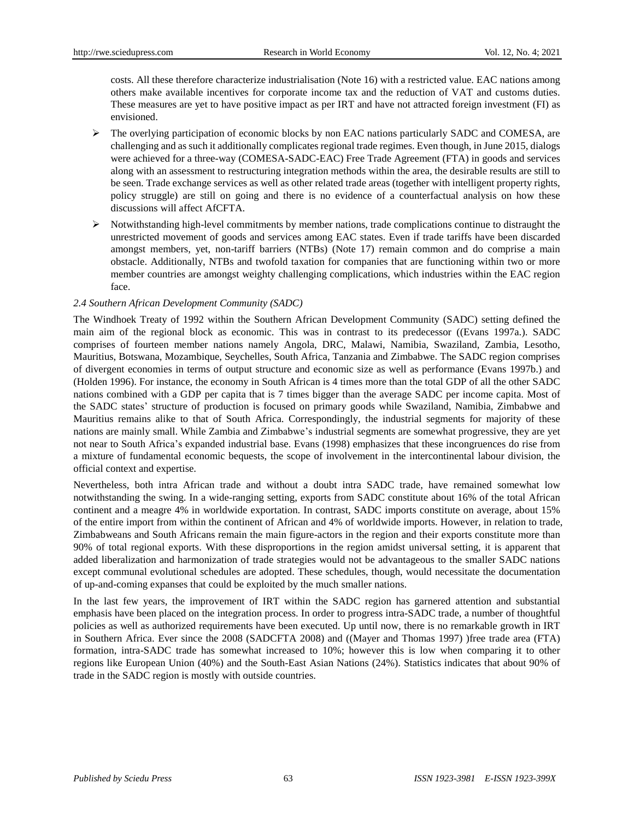costs. All these therefore characterize industrialisation (Note 16) with a restricted value. EAC nations among others make available incentives for corporate income tax and the reduction of VAT and customs duties. These measures are yet to have positive impact as per IRT and have not attracted foreign investment (FI) as envisioned.

- $\triangleright$  The overlying participation of economic blocks by non EAC nations particularly SADC and COMESA, are challenging and as such it additionally complicates regional trade regimes. Even though, in June 2015, dialogs were achieved for a three-way (COMESA-SADC-EAC) Free Trade Agreement (FTA) in goods and services along with an assessment to restructuring integration methods within the area, the desirable results are still to be seen. Trade exchange services as well as other related trade areas (together with intelligent property rights, policy struggle) are still on going and there is no evidence of a counterfactual analysis on how these discussions will affect AfCFTA.
- $\triangleright$  Notwithstanding high-level commitments by member nations, trade complications continue to distraught the unrestricted movement of goods and services among EAC states. Even if trade tariffs have been discarded amongst members, yet, non-tariff barriers (NTBs) (Note 17) remain common and do comprise a main obstacle. Additionally, NTBs and twofold taxation for companies that are functioning within two or more member countries are amongst weighty challenging complications, which industries within the EAC region face.

### *2.4 Southern African Development Community (SADC)*

The Windhoek Treaty of 1992 within the Southern African Development Community (SADC) setting defined the main aim of the regional block as economic. This was in contrast to its predecessor ((Evans 1997a.). SADC comprises of fourteen member nations namely Angola, DRC, Malawi, Namibia, Swaziland, Zambia, Lesotho, Mauritius, Botswana, Mozambique, Seychelles, South Africa, Tanzania and Zimbabwe. The SADC region comprises of divergent economies in terms of output structure and economic size as well as performance (Evans 1997b.) and (Holden 1996). For instance, the economy in South African is 4 times more than the total GDP of all the other SADC nations combined with a GDP per capita that is 7 times bigger than the average SADC per income capita. Most of the SADC states' structure of production is focused on primary goods while Swaziland, Namibia, Zimbabwe and Mauritius remains alike to that of South Africa. Correspondingly, the industrial segments for majority of these nations are mainly small. While Zambia and Zimbabwe's industrial segments are somewhat progressive, they are yet not near to South Africa's expanded industrial base. Evans (1998) emphasizes that these incongruences do rise from a mixture of fundamental economic bequests, the scope of involvement in the intercontinental labour division, the official context and expertise.

Nevertheless, both intra African trade and without a doubt intra SADC trade, have remained somewhat low notwithstanding the swing. In a wide-ranging setting, exports from SADC constitute about 16% of the total African continent and a meagre 4% in worldwide exportation. In contrast, SADC imports constitute on average, about 15% of the entire import from within the continent of African and 4% of worldwide imports. However, in relation to trade, Zimbabweans and South Africans remain the main figure-actors in the region and their exports constitute more than 90% of total regional exports. With these disproportions in the region amidst universal setting, it is apparent that added liberalization and harmonization of trade strategies would not be advantageous to the smaller SADC nations except communal evolutional schedules are adopted. These schedules, though, would necessitate the documentation of up-and-coming expanses that could be exploited by the much smaller nations.

In the last few years, the improvement of IRT within the SADC region has garnered attention and substantial emphasis have been placed on the integration process. In order to progress intra-SADC trade, a number of thoughtful policies as well as authorized requirements have been executed. Up until now, there is no remarkable growth in IRT in Southern Africa. Ever since the 2008 (SADCFTA 2008) and ((Mayer and Thomas 1997) )free trade area (FTA) formation, intra-SADC trade has somewhat increased to 10%; however this is low when comparing it to other regions like European Union (40%) and the South-East Asian Nations (24%). Statistics indicates that about 90% of trade in the SADC region is mostly with outside countries.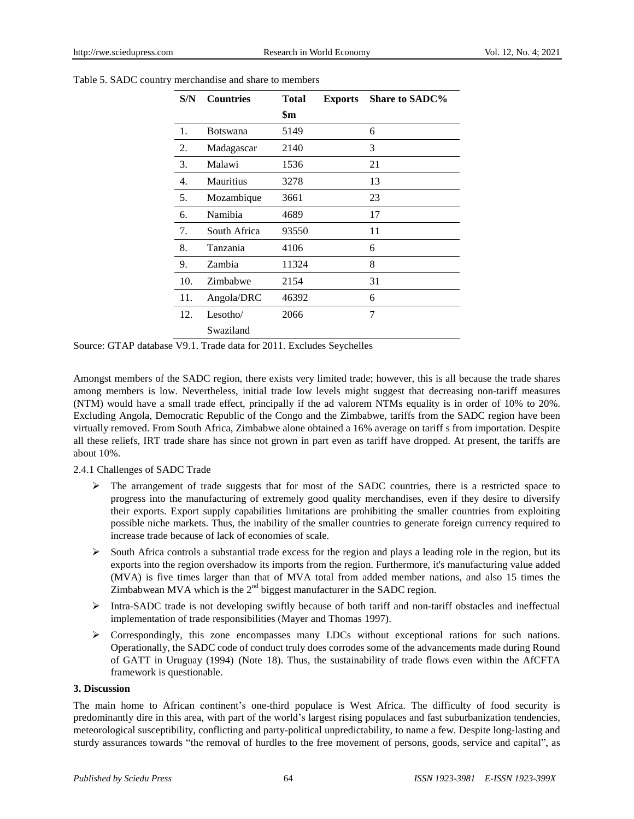| S/N | <b>Countries</b> | <b>Total</b> | <b>Exports</b> | <b>Share to SADC%</b> |
|-----|------------------|--------------|----------------|-----------------------|
|     |                  | \$m          |                |                       |
| 1.  | <b>Botswana</b>  | 5149         |                | 6                     |
| 2.  | Madagascar       | 2140         |                | 3                     |
| 3.  | Malawi           | 1536         |                | 21                    |
| 4.  | <b>Mauritius</b> | 3278         |                | 13                    |
| 5.  | Mozambique       | 3661         |                | 23                    |
| 6.  | Namibia          | 4689         |                | 17                    |
| 7.  | South Africa     | 93550        |                | 11                    |
| 8.  | Tanzania         | 4106         |                | 6                     |
| 9.  | Zambia           | 11324        |                | 8                     |
| 10. | Zimbabwe         | 2154         |                | 31                    |
| 11. | Angola/DRC       | 46392        |                | 6                     |
| 12. | Lesotho/         | 2066         |                | 7                     |
|     | Swaziland        |              |                |                       |

Table 5. SADC country merchandise and share to members

Source: GTAP database V9.1. Trade data for 2011. Excludes Seychelles

Amongst members of the SADC region, there exists very limited trade; however, this is all because the trade shares among members is low. Nevertheless, initial trade low levels might suggest that decreasing non-tariff measures (NTM) would have a small trade effect, principally if the ad valorem NTMs equality is in order of 10% to 20%. Excluding Angola, Democratic Republic of the Congo and the Zimbabwe, tariffs from the SADC region have been virtually removed. From South Africa, Zimbabwe alone obtained a 16% average on tariff s from importation. Despite all these reliefs, IRT trade share has since not grown in part even as tariff have dropped. At present, the tariffs are about 10%.

2.4.1 Challenges of SADC Trade

- $\triangleright$  The arrangement of trade suggests that for most of the SADC countries, there is a restricted space to progress into the manufacturing of extremely good quality merchandises, even if they desire to diversify their exports. Export supply capabilities limitations are prohibiting the smaller countries from exploiting possible niche markets. Thus, the inability of the smaller countries to generate foreign currency required to increase trade because of lack of economies of scale.
- $\triangleright$  South Africa controls a substantial trade excess for the region and plays a leading role in the region, but its exports into the region overshadow its imports from the region. Furthermore, it's manufacturing value added (MVA) is five times larger than that of MVA total from added member nations, and also 15 times the Zimbabwean MVA which is the  $2<sup>nd</sup>$  biggest manufacturer in the SADC region.
- $\triangleright$  Intra-SADC trade is not developing swiftly because of both tariff and non-tariff obstacles and ineffectual implementation of trade responsibilities (Mayer and Thomas 1997).
- $\triangleright$  Correspondingly, this zone encompasses many LDCs without exceptional rations for such nations. Operationally, the SADC code of conduct truly does corrodes some of the advancements made during Round of GATT in Uruguay (1994) (Note 18). Thus, the sustainability of trade flows even within the AfCFTA framework is questionable.

## **3. Discussion**

The main home to African continent's one-third populace is West Africa. The difficulty of food security is predominantly dire in this area, with part of the world's largest rising populaces and fast suburbanization tendencies, meteorological susceptibility, conflicting and party-political unpredictability, to name a few. Despite long-lasting and sturdy assurances towards "the removal of hurdles to the free movement of persons, goods, service and capital", as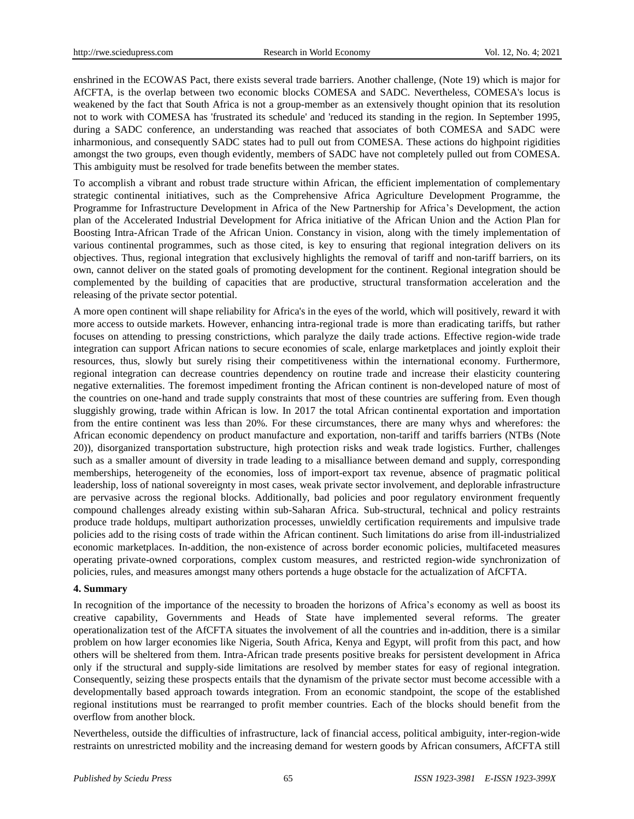enshrined in the ECOWAS Pact, there exists several trade barriers. Another challenge, (Note 19) which is major for AfCFTA, is the overlap between two economic blocks COMESA and SADC. Nevertheless, COMESA's locus is weakened by the fact that South Africa is not a group-member as an extensively thought opinion that its resolution not to work with COMESA has 'frustrated its schedule' and 'reduced its standing in the region. In September 1995, during a SADC conference, an understanding was reached that associates of both COMESA and SADC were inharmonious, and consequently SADC states had to pull out from COMESA. These actions do highpoint rigidities amongst the two groups, even though evidently, members of SADC have not completely pulled out from COMESA. This ambiguity must be resolved for trade benefits between the member states.

To accomplish a vibrant and robust trade structure within African, the efficient implementation of complementary strategic continental initiatives, such as the Comprehensive Africa Agriculture Development Programme, the Programme for Infrastructure Development in Africa of the New Partnership for Africa's Development, the action plan of the Accelerated Industrial Development for Africa initiative of the African Union and the Action Plan for Boosting Intra-African Trade of the African Union. Constancy in vision, along with the timely implementation of various continental programmes, such as those cited, is key to ensuring that regional integration delivers on its objectives. Thus, regional integration that exclusively highlights the removal of tariff and non-tariff barriers, on its own, cannot deliver on the stated goals of promoting development for the continent. Regional integration should be complemented by the building of capacities that are productive, structural transformation acceleration and the releasing of the private sector potential.

A more open continent will shape reliability for Africa's in the eyes of the world, which will positively, reward it with more access to outside markets. However, enhancing intra-regional trade is more than eradicating tariffs, but rather focuses on attending to pressing constrictions, which paralyze the daily trade actions. Effective region-wide trade integration can support African nations to secure economies of scale, enlarge marketplaces and jointly exploit their resources, thus, slowly but surely rising their competitiveness within the international economy. Furthermore, regional integration can decrease countries dependency on routine trade and increase their elasticity countering negative externalities. The foremost impediment fronting the African continent is non-developed nature of most of the countries on one-hand and trade supply constraints that most of these countries are suffering from. Even though sluggishly growing, trade within African is low. In 2017 the total African continental exportation and importation from the entire continent was less than 20%. For these circumstances, there are many whys and wherefores: the African economic dependency on product manufacture and exportation, non-tariff and tariffs barriers (NTBs (Note 20)), disorganized transportation substructure, high protection risks and weak trade logistics. Further, challenges such as a smaller amount of diversity in trade leading to a misalliance between demand and supply, corresponding memberships, heterogeneity of the economies, loss of import-export tax revenue, absence of pragmatic political leadership, loss of national sovereignty in most cases, weak private sector involvement, and deplorable infrastructure are pervasive across the regional blocks. Additionally, bad policies and poor regulatory environment frequently compound challenges already existing within sub-Saharan Africa. Sub-structural, technical and policy restraints produce trade holdups, multipart authorization processes, unwieldly certification requirements and impulsive trade policies add to the rising costs of trade within the African continent. Such limitations do arise from ill-industrialized economic marketplaces. In-addition, the non-existence of across border economic policies, multifaceted measures operating private-owned corporations, complex custom measures, and restricted region-wide synchronization of policies, rules, and measures amongst many others portends a huge obstacle for the actualization of AfCFTA.

#### **4. Summary**

In recognition of the importance of the necessity to broaden the horizons of Africa's economy as well as boost its creative capability, Governments and Heads of State have implemented several reforms. The greater operationalization test of the AfCFTA situates the involvement of all the countries and in-addition, there is a similar problem on how larger economies like Nigeria, South Africa, Kenya and Egypt, will profit from this pact, and how others will be sheltered from them. Intra-African trade presents positive breaks for persistent development in Africa only if the structural and supply-side limitations are resolved by member states for easy of regional integration. Consequently, seizing these prospects entails that the dynamism of the private sector must become accessible with a developmentally based approach towards integration. From an economic standpoint, the scope of the established regional institutions must be rearranged to profit member countries. Each of the blocks should benefit from the overflow from another block.

Nevertheless, outside the difficulties of infrastructure, lack of financial access, political ambiguity, inter-region-wide restraints on unrestricted mobility and the increasing demand for western goods by African consumers, AfCFTA still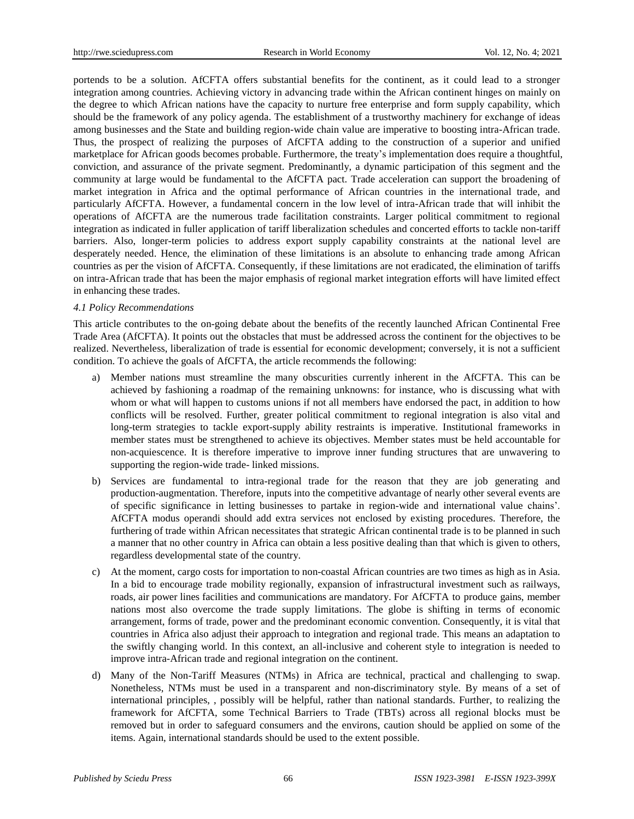portends to be a solution. AfCFTA offers substantial benefits for the continent, as it could lead to a stronger integration among countries. Achieving victory in advancing trade within the African continent hinges on mainly on the degree to which African nations have the capacity to nurture free enterprise and form supply capability, which should be the framework of any policy agenda. The establishment of a trustworthy machinery for exchange of ideas among businesses and the State and building region-wide chain value are imperative to boosting intra-African trade. Thus, the prospect of realizing the purposes of AfCFTA adding to the construction of a superior and unified marketplace for African goods becomes probable. Furthermore, the treaty's implementation does require a thoughtful, conviction, and assurance of the private segment. Predominantly, a dynamic participation of this segment and the community at large would be fundamental to the AfCFTA pact. Trade acceleration can support the broadening of market integration in Africa and the optimal performance of African countries in the international trade, and particularly AfCFTA. However, a fundamental concern in the low level of intra-African trade that will inhibit the operations of AfCFTA are the numerous trade facilitation constraints. Larger political commitment to regional integration as indicated in fuller application of tariff liberalization schedules and concerted efforts to tackle non-tariff barriers. Also, longer-term policies to address export supply capability constraints at the national level are desperately needed. Hence, the elimination of these limitations is an absolute to enhancing trade among African countries as per the vision of AfCFTA. Consequently, if these limitations are not eradicated, the elimination of tariffs on intra-African trade that has been the major emphasis of regional market integration efforts will have limited effect in enhancing these trades.

#### *4.1 Policy Recommendations*

This article contributes to the on-going debate about the benefits of the recently launched African Continental Free Trade Area (AfCFTA). It points out the obstacles that must be addressed across the continent for the objectives to be realized. Nevertheless, liberalization of trade is essential for economic development; conversely, it is not a sufficient condition. To achieve the goals of AfCFTA, the article recommends the following:

- a) Member nations must streamline the many obscurities currently inherent in the AfCFTA. This can be achieved by fashioning a roadmap of the remaining unknowns: for instance, who is discussing what with whom or what will happen to customs unions if not all members have endorsed the pact, in addition to how conflicts will be resolved. Further, greater political commitment to regional integration is also vital and long-term strategies to tackle export-supply ability restraints is imperative. Institutional frameworks in member states must be strengthened to achieve its objectives. Member states must be held accountable for non-acquiescence. It is therefore imperative to improve inner funding structures that are unwavering to supporting the region-wide trade- linked missions.
- b) Services are fundamental to intra-regional trade for the reason that they are job generating and production-augmentation. Therefore, inputs into the competitive advantage of nearly other several events are of specific significance in letting businesses to partake in region-wide and international value chains'. AfCFTA modus operandi should add extra services not enclosed by existing procedures. Therefore, the furthering of trade within African necessitates that strategic African continental trade is to be planned in such a manner that no other country in Africa can obtain a less positive dealing than that which is given to others, regardless developmental state of the country.
- c) At the moment, cargo costs for importation to non-coastal African countries are two times as high as in Asia. In a bid to encourage trade mobility regionally, expansion of infrastructural investment such as railways, roads, air power lines facilities and communications are mandatory. For AfCFTA to produce gains, member nations most also overcome the trade supply limitations. The globe is shifting in terms of economic arrangement, forms of trade, power and the predominant economic convention. Consequently, it is vital that countries in Africa also adjust their approach to integration and regional trade. This means an adaptation to the swiftly changing world. In this context, an all-inclusive and coherent style to integration is needed to improve intra-African trade and regional integration on the continent.
- d) Many of the Non-Tariff Measures (NTMs) in Africa are technical, practical and challenging to swap. Nonetheless, NTMs must be used in a transparent and non-discriminatory style. By means of a set of international principles, , possibly will be helpful, rather than national standards. Further, to realizing the framework for AfCFTA, some Technical Barriers to Trade (TBTs) across all regional blocks must be removed but in order to safeguard consumers and the environs, caution should be applied on some of the items. Again, international standards should be used to the extent possible.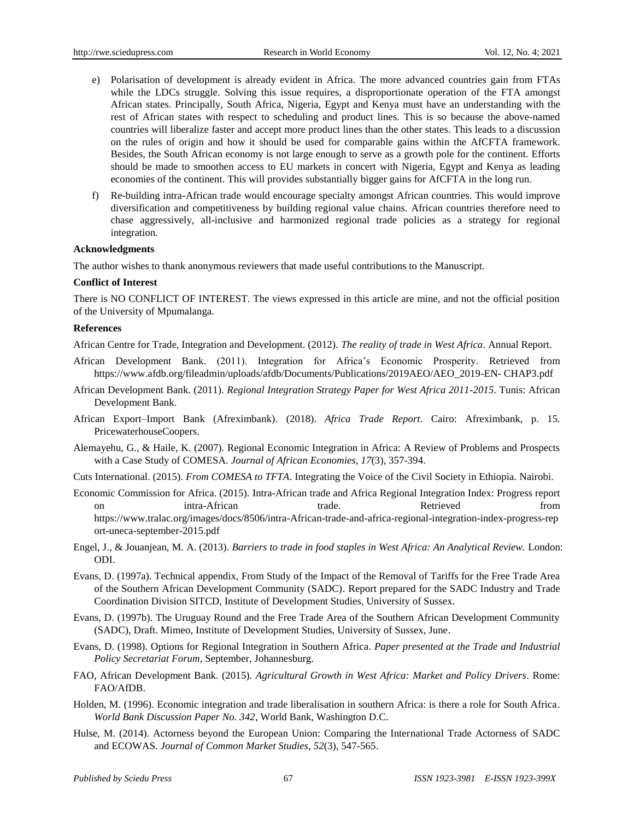- e) Polarisation of development is already evident in Africa. The more advanced countries gain from FTAs while the LDCs struggle. Solving this issue requires, a disproportionate operation of the FTA amongst African states. Principally, South Africa, Nigeria, Egypt and Kenya must have an understanding with the rest of African states with respect to scheduling and product lines. This is so because the above-named countries will liberalize faster and accept more product lines than the other states. This leads to a discussion on the rules of origin and how it should be used for comparable gains within the AfCFTA framework. Besides, the South African economy is not large enough to serve as a growth pole for the continent. Efforts should be made to smoothen access to EU markets in concert with Nigeria, Egypt and Kenya as leading economies of the continent. This will provides substantially bigger gains for AfCFTA in the long run.
- f) Re-building intra-African trade would encourage specialty amongst African countries. This would improve diversification and competitiveness by building regional value chains. African countries therefore need to chase aggressively, all-inclusive and harmonized regional trade policies as a strategy for regional integration.

#### **Acknowledgments**

The author wishes to thank anonymous reviewers that made useful contributions to the Manuscript.

#### **Conflict of Interest**

There is NO CONFLICT OF INTEREST. The views expressed in this article are mine, and not the official position of the University of Mpumalanga.

#### **References**

African Centre for Trade, Integration and Development. (2012). *The reality of trade in West Africa*. Annual Report.

- African Development Bank. (2011). Integration for Africa's Economic Prosperity. Retrieved from https://www.afdb.org/fileadmin/uploads/afdb/Documents/Publications/2019AEO/AEO\_2019-EN- CHAP3.pdf
- African Development Bank. (2011). *Regional Integration Strategy Paper for West Africa 2011-2015*. Tunis: African Development Bank.
- African Export–Import Bank (Afreximbank). (2018). *Africa Trade Report*. Cairo: Afreximbank, p. 15. PricewaterhouseCoopers.
- Alemayehu, G., & Haile, K. (2007). Regional Economic Integration in Africa: A Review of Problems and Prospects with a Case Study of COMESA. *Journal of African Economies, 17*(3), 357-394.
- Cuts International. (2015). *From COMESA to TFTA*. Integrating the Voice of the Civil Society in Ethiopia. Nairobi.
- Economic Commission for Africa. (2015). Intra-African trade and Africa Regional Integration Index: Progress report on intra-African trade. Retrieved from https://www.tralac.org/images/docs/8506/intra-African-trade-and-africa-regional-integration-index-progress-rep ort-uneca-september-2015.pdf
- Engel, J., & Jouanjean, M. A. (2013). *Barriers to trade in food staples in West Africa: An Analytical Review.* London: ODI.
- Evans, D. (1997a). Technical appendix, From Study of the Impact of the Removal of Tariffs for the Free Trade Area of the Southern African Development Community (SADC). Report prepared for the SADC Industry and Trade Coordination Division SITCD, Institute of Development Studies, University of Sussex.
- Evans, D. (1997b). The Uruguay Round and the Free Trade Area of the Southern African Development Community (SADC), Draft. Mimeo, Institute of Development Studies, University of Sussex, June.
- Evans, D. (1998). Options for Regional Integration in Southern Africa. *Paper presented at the Trade and Industrial Policy Secretariat Forum*, September, Johannesburg.
- FAO, African Development Bank. (2015). *Agricultural Growth in West Africa: Market and Policy Drivers*. Rome: FAO/AfDB.
- Holden, M. (1996). Economic integration and trade liberalisation in southern Africa: is there a role for South Africa. *World Bank Discussion Paper No. 342*, World Bank, Washington D.C.
- Hulse, M. (2014). Actorness beyond the European Union: Comparing the International Trade Actorness of SADC and ECOWAS. *Journal of Common Market Studies*, *52*(3), 547-565.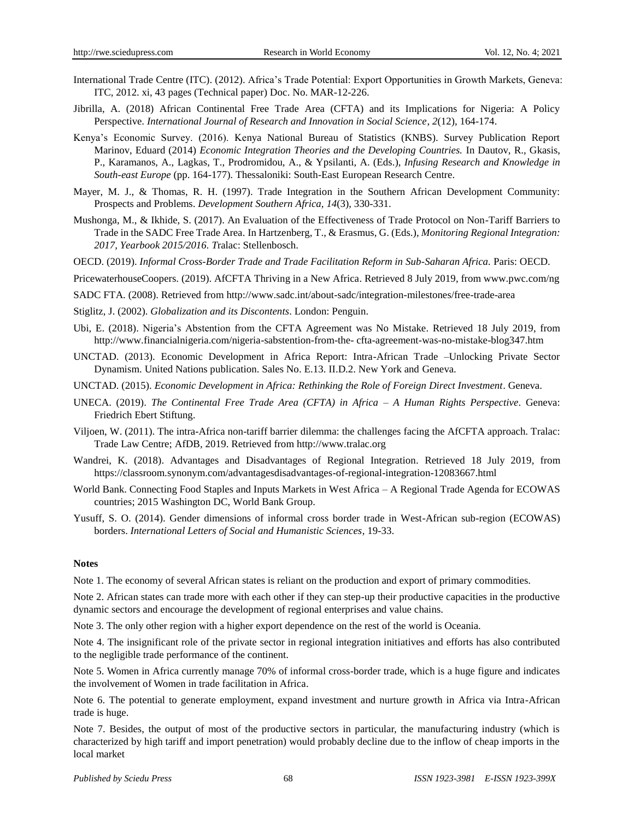- International Trade Centre (ITC). (2012). Africa's Trade Potential: Export Opportunities in Growth Markets, Geneva: ITC, 2012. xi, 43 pages (Technical paper) Doc. No. MAR-12-226.
- Jibrilla, A. (2018) African Continental Free Trade Area (CFTA) and its Implications for Nigeria: A Policy Perspective. *International Journal of Research and Innovation in Social Science*, *2*(12), 164-174.
- Kenya's Economic Survey. (2016). Kenya National Bureau of Statistics (KNBS). Survey Publication Report Marinov, Eduard (2014) *Economic Integration Theories and the Developing Countries.* In Dautov, R., Gkasis, P., Karamanos, A., Lagkas, T., Prodromidou, A., & Ypsilanti, A. (Eds.), *Infusing Research and Knowledge in South-east Europe* (pp. 164-177)*.* Thessaloniki: South-East European Research Centre.
- Mayer, M. J., & Thomas, R. H. (1997). Trade Integration in the Southern African Development Community: Prospects and Problems. *Development Southern Africa, 14*(3), 330-331.
- Mushonga, M., & Ikhide, S. (2017). An Evaluation of the Effectiveness of Trade Protocol on Non-Tariff Barriers to Trade in the SADC Free Trade Area. In Hartzenberg, T., & Erasmus, G. (Eds.), *Monitoring Regional Integration: 2017, Yearbook 2015/2016. T*ralac: Stellenbosch.
- OECD. (2019). *Informal Cross-Border Trade and Trade Facilitation Reform in Sub-Saharan Africa.* Paris: OECD.
- PricewaterhouseCoopers. (2019). AfCFTA Thriving in a New Africa. Retrieved 8 July 2019, from [www.pwc.com/ng](http://www.pwc.com/ng)
- SADC FTA. (2008). Retrieved from http://www.sadc.int/about-sadc/integration-milestones/free-trade-area
- Stiglitz, J. (2002). *Globalization and its Discontents*. London: Penguin.
- Ubi, E. (2018). Nigeria's Abstention from the CFTA Agreement was No Mistake. Retrieved 18 July 2019, from [http://www.financialnigeria.com/nigeria-sabstention-from-the-](http://www.financialnigeria.com/nigeria-sabstention-from-the-%20cfta-agreement-was-%20no-mistake-blog347.htm) cfta-agreement-was-no-mistake-blog347.htm
- UNCTAD. (2013). Economic Development in Africa Report: Intra-African Trade –Unlocking Private Sector Dynamism. United Nations publication. Sales No. E.13. II.D.2. New York and Geneva.
- UNCTAD. (2015). *Economic Development in Africa: Rethinking the Role of Foreign Direct Investment*. Geneva.
- UNECA. (2019). *The Continental Free Trade Area (CFTA) in Africa – A Human Rights Perspective*. Geneva: Friedrich Ebert Stiftung.
- Viljoen, W. (2011). The intra-Africa non-tariff barrier dilemma: the challenges facing the AfCFTA approach. Tralac: Trade Law Centre; AfDB, 2019. Retrieved from http://www.tralac.org
- Wandrei, K. (2018). Advantages and Disadvantages of Regional Integration. Retrieved 18 July 2019, from <https://classroom.synonym.com/advantagesdisadvantages-of-regional-integration-12083667.html>
- World Bank. Connecting Food Staples and Inputs Markets in West Africa A Regional Trade Agenda for ECOWAS countries; 2015 Washington DC, World Bank Group.
- Yusuff, S. O. (2014). Gender dimensions of informal cross border trade in West-African sub-region (ECOWAS) borders. *International Letters of Social and Humanistic Sciences*, 19-33.

#### **Notes**

Note 1. The economy of several African states is reliant on the production and export of primary commodities.

Note 2. African states can trade more with each other if they can step-up their productive capacities in the productive dynamic sectors and encourage the development of regional enterprises and value chains.

Note 3. The only other region with a higher export dependence on the rest of the world is Oceania.

Note 4. The insignificant role of the private sector in regional integration initiatives and efforts has also contributed to the negligible trade performance of the continent.

Note 5. Women in Africa currently manage 70% of informal cross-border trade, which is a huge figure and indicates the involvement of Women in trade facilitation in Africa.

Note 6. The potential to generate employment, expand investment and nurture growth in Africa via Intra-African trade is huge.

Note 7. Besides, the output of most of the productive sectors in particular, the manufacturing industry (which is characterized by high tariff and import penetration) would probably decline due to the inflow of cheap imports in the local market